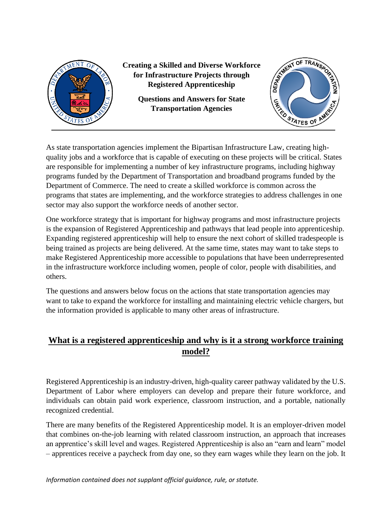

**Creating a Skilled and Diverse Workforce for Infrastructure Projects through Registered Apprenticeship**

> **Questions and Answers for State Transportation Agencies**



As state transportation agencies implement the Bipartisan Infrastructure Law, creating highquality jobs and a workforce that is capable of executing on these projects will be critical. States are responsible for implementing a number of key infrastructure programs, including highway programs funded by the Department of Transportation and broadband programs funded by the Department of Commerce. The need to create a skilled workforce is common across the programs that states are implementing, and the workforce strategies to address challenges in one sector may also support the workforce needs of another sector.

One workforce strategy that is important for highway programs and most infrastructure projects is the expansion of Registered Apprenticeship and pathways that lead people into apprenticeship. Expanding registered apprenticeship will help to ensure the next cohort of skilled tradespeople is being trained as projects are being delivered. At the same time, states may want to take steps to make Registered Apprenticeship more accessible to populations that have been underrepresented in the infrastructure workforce including women, people of color, people with disabilities, and others.

The questions and answers below focus on the actions that state transportation agencies may want to take to expand the workforce for installing and maintaining electric vehicle chargers, but the information provided is applicable to many other areas of infrastructure.

# **What is a registered apprenticeship and why is it a strong workforce training model?**

Registered Apprenticeship is an industry-driven, high-quality career pathway validated by the U.S. Department of Labor where employers can develop and prepare their future workforce, and individuals can obtain paid work experience, classroom instruction, and a portable, nationally recognized credential.

There are many benefits of the Registered Apprenticeship model. It is an employer-driven model that combines on-the-job learning with related classroom instruction, an approach that increases an apprentice's skill level and wages. Registered Apprenticeship is also an "earn and learn" model – apprentices receive a paycheck from day one, so they earn wages while they learn on the job. It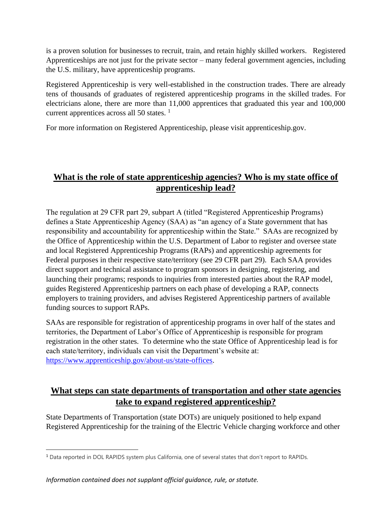is a proven solution for businesses to recruit, train, and retain highly skilled workers. Registered Apprenticeships are not just for the private sector – many federal government agencies, including the U.S. military, have apprenticeship programs.

Registered Apprenticeship is very well-established in the construction trades. There are already tens of thousands of graduates of registered apprenticeship programs in the skilled trades. For electricians alone, there are more than 11,000 apprentices that graduated this year and 100,000 current apprentices across all 50 states.<sup>1</sup>

For more information on Registered Apprenticeship, please visit apprenticeship.gov.

### **What is the role of state apprenticeship agencies? Who is my state office of apprenticeship lead?**

The regulation at 29 CFR part 29, subpart A (titled "Registered Apprenticeship Programs) defines a State Apprenticeship Agency (SAA) as "an agency of a State government that has responsibility and accountability for apprenticeship within the State." SAAs are recognized by the Office of Apprenticeship within the U.S. Department of Labor to register and oversee state and local Registered Apprenticeship Programs (RAPs) and apprenticeship agreements for Federal purposes in their respective state/territory (see 29 CFR part 29). Each SAA provides direct support and technical assistance to program sponsors in designing, registering, and launching their programs; responds to inquiries from interested parties about the RAP model, guides Registered Apprenticeship partners on each phase of developing a RAP, connects employers to training providers, and advises Registered Apprenticeship partners of available funding sources to support RAPs.

SAAs are responsible for registration of apprenticeship programs in over half of the states and territories, the Department of Labor's Office of Apprenticeship is responsible for program registration in the other states. To determine who the state Office of Apprenticeship lead is for each state/territory, individuals can visit the Department's website at: [https://www.apprenticeship.gov/about-us/state-offices.](https://gcc02.safelinks.protection.outlook.com/?url=https%3A%2F%2Fwww.apprenticeship.gov%2Fabout-us%2Fstate-offices&data=05%7C01%7CRidgeway.Andrew%40dol.gov%7C60ca5a4782574f07089a08da44b95bd2%7C75a6305472044e0c9126adab971d4aca%7C0%7C0%7C637897860303769164%7CUnknown%7CTWFpbGZsb3d8eyJWIjoiMC4wLjAwMDAiLCJQIjoiV2luMzIiLCJBTiI6Ik1haWwiLCJXVCI6Mn0%3D%7C3000%7C%7C%7C&sdata=vttE34484QdQRtqpZQai%2BIzTy3usYGmkLlwL7A5EbRk%3D&reserved=0)

### **What steps can state departments of transportation and other state agencies take to expand registered apprenticeship?**

State Departments of Transportation (state DOTs) are uniquely positioned to help expand Registered Apprenticeship for the training of the Electric Vehicle charging workforce and other

<sup>1</sup> Data reported in DOL RAPIDS system plus California, one of several states that don't report to RAPIDs.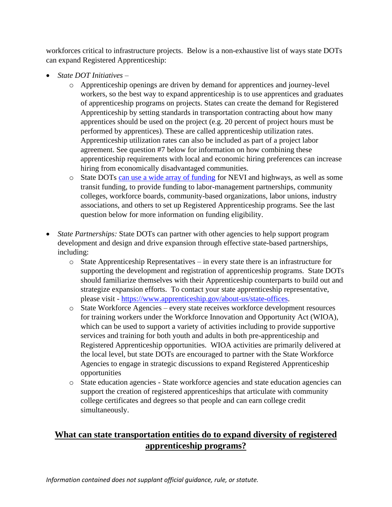workforces critical to infrastructure projects. Below is a non-exhaustive list of ways state DOTs can expand Registered Apprenticeship:

- *State DOT Initiatives* 
	- o Apprenticeship openings are driven by demand for apprentices and journey-level workers, so the best way to expand apprenticeship is to use apprentices and graduates of apprenticeship programs on projects. States can create the demand for Registered Apprenticeship by setting standards in transportation contracting about how many apprentices should be used on the project (e.g. 20 percent of project hours must be performed by apprentices). These are called apprenticeship utilization rates. Apprenticeship utilization rates can also be included as part of a project labor agreement. See question #7 below for information on how combining these apprenticeship requirements with local and economic hiring preferences can increase hiring from economically disadvantaged communities.
	- o State DOTs [can use a wide array of funding](https://www.fhwa.dot.gov/environment/alternative_fuel_corridors/resources/ev_funding_report_2022.pdf) for NEVI and highways, as well as some transit funding, to provide funding to labor-management partnerships, community colleges, workforce boards, community-based organizations, labor unions, industry associations, and others to set up Registered Apprenticeship programs. See the last question below for more information on funding eligibility.
- *State Partnerships:* State DOTs can partner with other agencies to help support program development and design and drive expansion through effective state-based partnerships, including:
	- $\circ$  State Apprenticeship Representatives in every state there is an infrastructure for supporting the development and registration of apprenticeship programs. State DOTs should familiarize themselves with their Apprenticeship counterparts to build out and strategize expansion efforts. To contact your state apprenticeship representative, please visit - [https://www.apprenticeship.gov/about-us/state-offices.](https://gcc02.safelinks.protection.outlook.com/?url=https%3A%2F%2Fwww.apprenticeship.gov%2Fabout-us%2Fstate-offices&data=05%7C01%7CRidgeway.Andrew%40dol.gov%7C2d2b04c7ebd64a48f8eb08da46972523%7C75a6305472044e0c9126adab971d4aca%7C0%7C0%7C637899912236974517%7CUnknown%7CTWFpbGZsb3d8eyJWIjoiMC4wLjAwMDAiLCJQIjoiV2luMzIiLCJBTiI6Ik1haWwiLCJXVCI6Mn0%3D%7C3000%7C%7C%7C&sdata=%2BzIVyWj0gpnqGWiZ0HOqies%2F8PfeNytd88S%2BdsGWQsc%3D&reserved=0)
	- o State Workforce Agencies every state receives workforce development resources for training workers under the Workforce Innovation and Opportunity Act (WIOA), which can be used to support a variety of activities including to provide supportive services and training for both youth and adults in both pre-apprenticeship and Registered Apprenticeship opportunities. WIOA activities are primarily delivered at the local level, but state DOTs are encouraged to partner with the State Workforce Agencies to engage in strategic discussions to expand Registered Apprenticeship opportunities
	- o State education agencies State workforce agencies and state education agencies can support the creation of registered apprenticeships that articulate with community college certificates and degrees so that people and can earn college credit simultaneously.

### **What can state transportation entities do to expand diversity of registered apprenticeship programs?**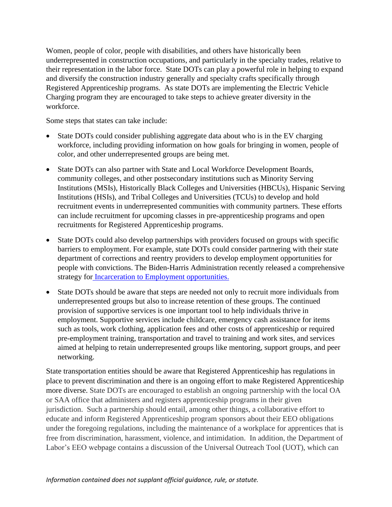Women, people of color, people with disabilities, and others have historically been underrepresented in construction occupations, and particularly in the specialty trades, relative to their representation in the labor force. State DOTs can play a powerful role in helping to expand and diversify the construction industry generally and specialty crafts specifically through Registered Apprenticeship programs. As state DOTs are implementing the Electric Vehicle Charging program they are encouraged to take steps to achieve greater diversity in the workforce.

Some steps that states can take include:

- State DOTs could consider publishing aggregate data about who is in the EV charging workforce, including providing information on how goals for bringing in women, people of color, and other underrepresented groups are being met.
- State DOTs can also partner with State and Local Workforce Development Boards, community colleges, and other postsecondary institutions such as Minority Serving Institutions (MSIs), Historically Black Colleges and Universities (HBCUs), Hispanic Serving Institutions (HSIs), and Tribal Colleges and Universities (TCUs) to develop and hold recruitment events in underrepresented communities with community partners. These efforts can include recruitment for upcoming classes in pre-apprenticeship programs and open recruitments for Registered Apprenticeship programs.
- State DOTs could also develop partnerships with providers focused on groups with specific barriers to employment. For example, state DOTs could consider partnering with their state department of corrections and reentry providers to develop employment opportunities for people with convictions. The Biden-Harris Administration recently released a [comprehensive](https://www.whitehouse.gov/wp-content/uploads/2022/04/Incarceration-to-Employment-Strategy.pdf)  strategy for [Incarceration to Employment opportunities.](https://www.whitehouse.gov/wp-content/uploads/2022/04/Incarceration-to-Employment-Strategy.pdf)
- State DOTs should be aware that steps are needed not only to recruit more individuals from underrepresented groups but also to increase retention of these groups. The continued provision of supportive services is one important tool to help individuals thrive in employment. Supportive services include childcare, emergency cash assistance for items such as tools, work clothing, application fees and other costs of apprenticeship or required pre-employment training, transportation and travel to training and work sites, and services aimed at helping to retain underrepresented groups like mentoring, support groups, and peer networking.

State transportation entities should be aware that Registered Apprenticeship has regulations in place to prevent discrimination and there is an ongoing effort to make Registered Apprenticeship more diverse. State DOTs are encouraged to establish an ongoing partnership with the local OA or SAA office that administers and registers apprenticeship programs in their given jurisdiction. Such a partnership should entail, among other things, a collaborative effort to educate and inform Registered Apprenticeship program sponsors about their EEO obligations under the foregoing regulations, including the maintenance of a workplace for apprentices that is free from discrimination, harassment, violence, and intimidation. In addition, the Department of Labor's EEO webpage contains a discussion of the Universal Outreach Tool (UOT), which can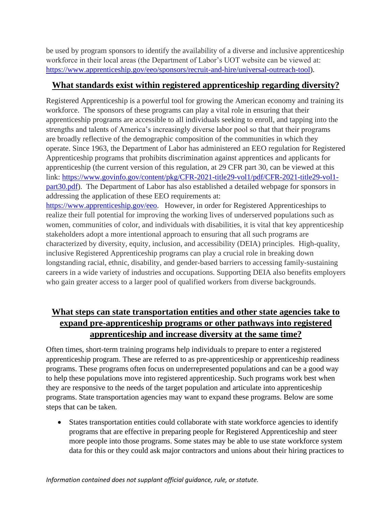be used by program sponsors to identify the availability of a diverse and inclusive apprenticeship workforce in their local areas (the Department of Labor's UOT website can be viewed at: [https://www.apprenticeship.gov/eeo/sponsors/recruit-and-hire/universal-outreach-tool\)](https://gcc02.safelinks.protection.outlook.com/?url=https%3A%2F%2Fwww.apprenticeship.gov%2Feeo%2Fsponsors%2Frecruit-and-hire%2Funiversal-outreach-tool&data=05%7C01%7CRidgeway.Andrew%40dol.gov%7C60ca5a4782574f07089a08da44b95bd2%7C75a6305472044e0c9126adab971d4aca%7C0%7C0%7C637897860303769164%7CUnknown%7CTWFpbGZsb3d8eyJWIjoiMC4wLjAwMDAiLCJQIjoiV2luMzIiLCJBTiI6Ik1haWwiLCJXVCI6Mn0%3D%7C3000%7C%7C%7C&sdata=8ofGqGvMGq21w3FQi5yzDFSqzV5lRcR%2B8bw37OVQlxc%3D&reserved=0).

### **What standards exist within registered apprenticeship regarding diversity?**

Registered Apprenticeship is a powerful tool for growing the American economy and training its workforce. The sponsors of these programs can play a vital role in ensuring that their apprenticeship programs are accessible to all individuals seeking to enroll, and tapping into the strengths and talents of America's increasingly diverse labor pool so that that their programs are broadly reflective of the demographic composition of the communities in which they operate. Since 1963, the Department of Labor has administered an EEO regulation for Registered Apprenticeship programs that prohibits discrimination against apprentices and applicants for apprenticeship (the current version of this regulation, at 29 CFR part 30, can be viewed at this link: [https://www.govinfo.gov/content/pkg/CFR-2021-title29-vol1/pdf/CFR-2021-title29-vol1](https://gcc02.safelinks.protection.outlook.com/?url=https%3A%2F%2Fwww.govinfo.gov%2Fcontent%2Fpkg%2FCFR-2021-title29-vol1%2Fpdf%2FCFR-2021-title29-vol1-part30.pdf&data=05%7C01%7CRidgeway.Andrew%40dol.gov%7C60ca5a4782574f07089a08da44b95bd2%7C75a6305472044e0c9126adab971d4aca%7C0%7C0%7C637897860303769164%7CUnknown%7CTWFpbGZsb3d8eyJWIjoiMC4wLjAwMDAiLCJQIjoiV2luMzIiLCJBTiI6Ik1haWwiLCJXVCI6Mn0%3D%7C3000%7C%7C%7C&sdata=%2BYmRGoNYTkbINKx9FeL%2Bc%2F1x41d1R58IcEWvBf%2BGdJQ%3D&reserved=0) [part30.pdf\)](https://gcc02.safelinks.protection.outlook.com/?url=https%3A%2F%2Fwww.govinfo.gov%2Fcontent%2Fpkg%2FCFR-2021-title29-vol1%2Fpdf%2FCFR-2021-title29-vol1-part30.pdf&data=05%7C01%7CRidgeway.Andrew%40dol.gov%7C60ca5a4782574f07089a08da44b95bd2%7C75a6305472044e0c9126adab971d4aca%7C0%7C0%7C637897860303769164%7CUnknown%7CTWFpbGZsb3d8eyJWIjoiMC4wLjAwMDAiLCJQIjoiV2luMzIiLCJBTiI6Ik1haWwiLCJXVCI6Mn0%3D%7C3000%7C%7C%7C&sdata=%2BYmRGoNYTkbINKx9FeL%2Bc%2F1x41d1R58IcEWvBf%2BGdJQ%3D&reserved=0). The Department of Labor has also established a detailed webpage for sponsors in addressing the application of these EEO requirements at: [https://www.apprenticeship.gov/eeo.](https://gcc02.safelinks.protection.outlook.com/?url=https%3A%2F%2Fwww.apprenticeship.gov%2Feeo&data=05%7C01%7CRidgeway.Andrew%40dol.gov%7C60ca5a4782574f07089a08da44b95bd2%7C75a6305472044e0c9126adab971d4aca%7C0%7C0%7C637897860303769164%7CUnknown%7CTWFpbGZsb3d8eyJWIjoiMC4wLjAwMDAiLCJQIjoiV2luMzIiLCJBTiI6Ik1haWwiLCJXVCI6Mn0%3D%7C3000%7C%7C%7C&sdata=2LcVt%2B9GEqRfleJj4pUUJthn%2Fn9R%2BoSJLv24dleZ8uo%3D&reserved=0) However, in order for Registered Apprenticeships to realize their full potential for improving the working lives of underserved populations such as women, communities of color, and individuals with disabilities, it is vital that key apprenticeship stakeholders adopt a more intentional approach to ensuring that all such programs are

characterized by diversity, equity, inclusion, and accessibility (DEIA) principles. High-quality, inclusive Registered Apprenticeship programs can play a crucial role in breaking down longstanding racial, ethnic, disability, and gender-based barriers to accessing family-sustaining careers in a wide variety of industries and occupations. Supporting DEIA also benefits employers who gain greater access to a larger pool of qualified workers from diverse backgrounds.

# **What steps can state transportation entities and other state agencies take to expand pre-apprenticeship programs or other pathways into registered apprenticeship and increase diversity at the same time?**

Often times, short-term training programs help individuals to prepare to enter a registered apprenticeship program. These are referred to as pre-apprenticeship or apprenticeship readiness programs. These programs often focus on underrepresented populations and can be a good way to help these populations move into registered apprenticeship. Such programs work best when they are responsive to the needs of the target population and articulate into apprenticeship programs. State transportation agencies may want to expand these programs. Below are some steps that can be taken.

• States transportation entities could collaborate with state workforce agencies to identify programs that are effective in preparing people for Registered Apprenticeship and steer more people into those programs. Some states may be able to use state workforce system data for this or they could ask major contractors and unions about their hiring practices to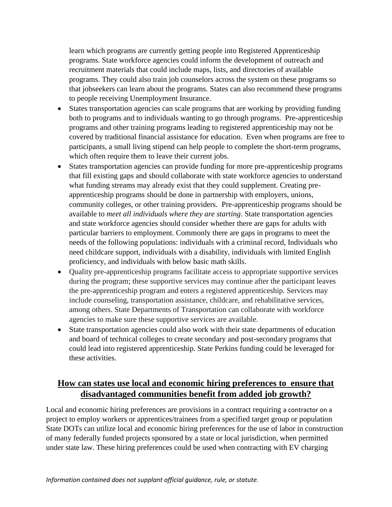learn which programs are currently getting people into Registered Apprenticeship programs. State workforce agencies could inform the development of outreach and recruitment materials that could include maps, lists, and directories of available programs. They could also train job counselors across the system on these programs so that jobseekers can learn about the programs. States can also recommend these programs to people receiving Unemployment Insurance.

- States transportation agencies can scale programs that are working by providing funding both to programs and to individuals wanting to go through programs. Pre-apprenticeship programs and other training programs leading to registered apprenticeship may not be covered by traditional financial assistance for education. Even when programs are free to participants, a small living stipend can help people to complete the short-term programs, which often require them to leave their current jobs.
- States transportation agencies can provide funding for more pre-apprenticeship programs that fill existing gaps and should collaborate with state workforce agencies to understand what funding streams may already exist that they could supplement. Creating preapprenticeship programs should be done in partnership with employers, unions, community colleges, or other training providers. Pre-apprenticeship programs should be available to *meet all individuals where they are starting*. State transportation agencies and state workforce agencies should consider whether there are gaps for adults with particular barriers to employment. Commonly there are gaps in programs to meet the needs of the following populations: individuals with a criminal record, Individuals who need childcare support, individuals with a disability, individuals with limited English proficiency, and individuals with below basic math skills.
- Quality pre-apprenticeship programs facilitate access to appropriate supportive services during the program; these supportive services may continue after the participant leaves the pre-apprenticeship program and enters a registered apprenticeship. Services may include counseling, transportation assistance, childcare, and rehabilitative services, among others. State Departments of Transportation can collaborate with workforce agencies to make sure these supportive services are available.
- State transportation agencies could also work with their state departments of education and board of technical colleges to create secondary and post-secondary programs that could lead into registered apprenticeship. State Perkins funding could be leveraged for these activities.

# **How can states use local and economic hiring preferences to ensure that disadvantaged communities benefit from added job growth?**

Local and economic hiring preferences are provisions in a contract requiring a contractor on a project to employ workers or apprentices/trainees from a specified target group or population State DOTs can utilize local and economic hiring preferences for the use of labor in construction of many federally funded projects sponsored by a state or local jurisdiction, when permitted under state law. These hiring preferences could be used when contracting with EV charging